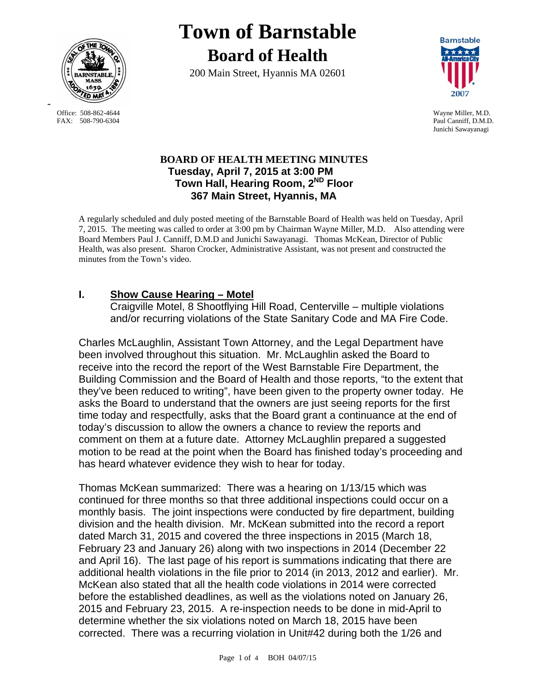

FAX: 508-790-6304 Paul Canniff, D.M.D.

-

# **Town of Barnstable Board of Health**

200 Main Street, Hyannis MA 02601



Office: 508-862-4644 Wayne Miller, M.D. Junichi Sawayanagi

## **BOARD OF HEALTH MEETING MINUTES Tuesday, April 7, 2015 at 3:00 PM Town Hall, Hearing Room, 2ND Floor 367 Main Street, Hyannis, MA**

A regularly scheduled and duly posted meeting of the Barnstable Board of Health was held on Tuesday, April 7, 2015. The meeting was called to order at 3:00 pm by Chairman Wayne Miller, M.D. Also attending were Board Members Paul J. Canniff, D.M.D and Junichi Sawayanagi. Thomas McKean, Director of Public Health, was also present. Sharon Crocker, Administrative Assistant, was not present and constructed the minutes from the Town's video.

## **I. Show Cause Hearing – Motel**

Craigville Motel, 8 Shootflying Hill Road, Centerville – multiple violations and/or recurring violations of the State Sanitary Code and MA Fire Code.

Charles McLaughlin, Assistant Town Attorney, and the Legal Department have been involved throughout this situation. Mr. McLaughlin asked the Board to receive into the record the report of the West Barnstable Fire Department, the Building Commission and the Board of Health and those reports, "to the extent that they've been reduced to writing", have been given to the property owner today. He asks the Board to understand that the owners are just seeing reports for the first time today and respectfully, asks that the Board grant a continuance at the end of today's discussion to allow the owners a chance to review the reports and comment on them at a future date. Attorney McLaughlin prepared a suggested motion to be read at the point when the Board has finished today's proceeding and has heard whatever evidence they wish to hear for today.

Thomas McKean summarized: There was a hearing on 1/13/15 which was continued for three months so that three additional inspections could occur on a monthly basis. The joint inspections were conducted by fire department, building division and the health division. Mr. McKean submitted into the record a report dated March 31, 2015 and covered the three inspections in 2015 (March 18, February 23 and January 26) along with two inspections in 2014 (December 22 and April 16). The last page of his report is summations indicating that there are additional health violations in the file prior to 2014 (in 2013, 2012 and earlier). Mr. McKean also stated that all the health code violations in 2014 were corrected before the established deadlines, as well as the violations noted on January 26, 2015 and February 23, 2015. A re-inspection needs to be done in mid-April to determine whether the six violations noted on March 18, 2015 have been corrected. There was a recurring violation in Unit#42 during both the 1/26 and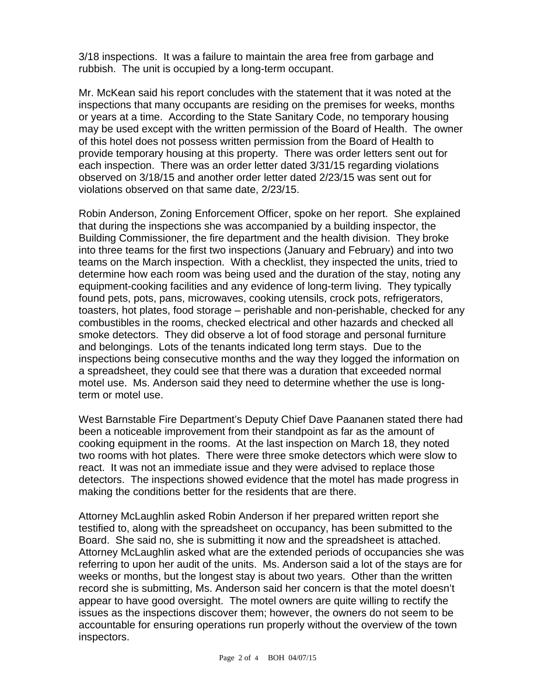3/18 inspections. It was a failure to maintain the area free from garbage and rubbish. The unit is occupied by a long-term occupant.

Mr. McKean said his report concludes with the statement that it was noted at the inspections that many occupants are residing on the premises for weeks, months or years at a time. According to the State Sanitary Code, no temporary housing may be used except with the written permission of the Board of Health. The owner of this hotel does not possess written permission from the Board of Health to provide temporary housing at this property. There was order letters sent out for each inspection. There was an order letter dated 3/31/15 regarding violations observed on 3/18/15 and another order letter dated 2/23/15 was sent out for violations observed on that same date, 2/23/15.

Robin Anderson, Zoning Enforcement Officer, spoke on her report. She explained that during the inspections she was accompanied by a building inspector, the Building Commissioner, the fire department and the health division. They broke into three teams for the first two inspections (January and February) and into two teams on the March inspection. With a checklist, they inspected the units, tried to determine how each room was being used and the duration of the stay, noting any equipment-cooking facilities and any evidence of long-term living. They typically found pets, pots, pans, microwaves, cooking utensils, crock pots, refrigerators, toasters, hot plates, food storage – perishable and non-perishable, checked for any combustibles in the rooms, checked electrical and other hazards and checked all smoke detectors. They did observe a lot of food storage and personal furniture and belongings. Lots of the tenants indicated long term stays. Due to the inspections being consecutive months and the way they logged the information on a spreadsheet, they could see that there was a duration that exceeded normal motel use. Ms. Anderson said they need to determine whether the use is longterm or motel use.

West Barnstable Fire Department's Deputy Chief Dave Paananen stated there had been a noticeable improvement from their standpoint as far as the amount of cooking equipment in the rooms. At the last inspection on March 18, they noted two rooms with hot plates. There were three smoke detectors which were slow to react. It was not an immediate issue and they were advised to replace those detectors. The inspections showed evidence that the motel has made progress in making the conditions better for the residents that are there.

Attorney McLaughlin asked Robin Anderson if her prepared written report she testified to, along with the spreadsheet on occupancy, has been submitted to the Board. She said no, she is submitting it now and the spreadsheet is attached. Attorney McLaughlin asked what are the extended periods of occupancies she was referring to upon her audit of the units. Ms. Anderson said a lot of the stays are for weeks or months, but the longest stay is about two years. Other than the written record she is submitting, Ms. Anderson said her concern is that the motel doesn't appear to have good oversight. The motel owners are quite willing to rectify the issues as the inspections discover them; however, the owners do not seem to be accountable for ensuring operations run properly without the overview of the town inspectors.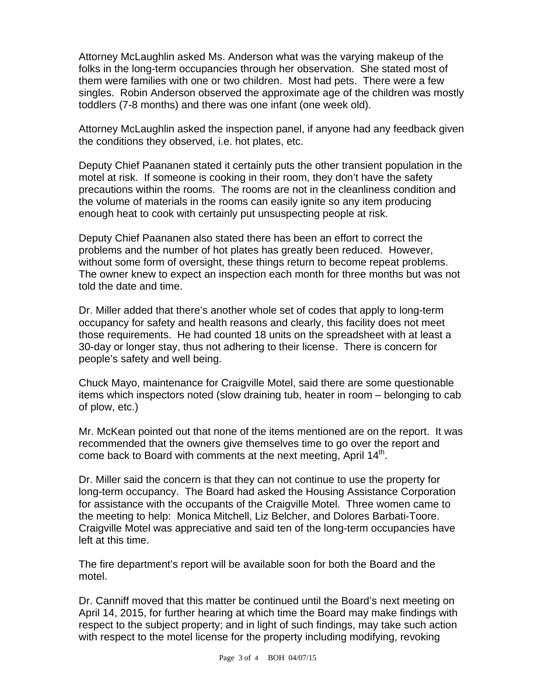Attorney McLaughlin asked Ms. Anderson what was the varying makeup of the folks in the long-term occupancies through her observation. She stated most of them were families with one or two children. Most had pets. There were a few singles. Robin Anderson observed the approximate age of the children was mostly toddlers (7-8 months) and there was one infant (one week old).

Attorney McLaughlin asked the inspection panel, if anyone had any feedback given the conditions they observed, i.e. hot plates, etc.

Deputy Chief Paananen stated it certainly puts the other transient population in the motel at risk. If someone is cooking in their room, they don't have the safety precautions within the rooms. The rooms are not in the cleanliness condition and the volume of materials in the rooms can easily ignite so any item producing enough heat to cook with certainly put unsuspecting people at risk.

Deputy Chief Paananen also stated there has been an effort to correct the problems and the number of hot plates has greatly been reduced. However, without some form of oversight, these things return to become repeat problems. The owner knew to expect an inspection each month for three months but was not told the date and time.

Dr. Miller added that there's another whole set of codes that apply to long-term occupancy for safety and health reasons and clearly, this facility does not meet those requirements. He had counted 18 units on the spreadsheet with at least a 30-day or longer stay, thus not adhering to their license. There is concern for people's safety and well being.

Chuck Mayo, maintenance for Craigville Motel, said there are some questionable items which inspectors noted (slow draining tub, heater in room – belonging to cab of plow, etc.)

Mr. McKean pointed out that none of the items mentioned are on the report. It was recommended that the owners give themselves time to go over the report and come back to Board with comments at the next meeting, April 14<sup>th</sup>.

Dr. Miller said the concern is that they can not continue to use the property for long-term occupancy. The Board had asked the Housing Assistance Corporation for assistance with the occupants of the Craigville Motel. Three women came to the meeting to help: Monica Mitchell, Liz Belcher, and Dolores Barbati-Toore. Craigville Motel was appreciative and said ten of the long-term occupancies have left at this time.

The fire department's report will be available soon for both the Board and the motel.

Dr. Canniff moved that this matter be continued until the Board's next meeting on April 14, 2015, for further hearing at which time the Board may make findings with respect to the subject property; and in light of such findings, may take such action with respect to the motel license for the property including modifying, revoking